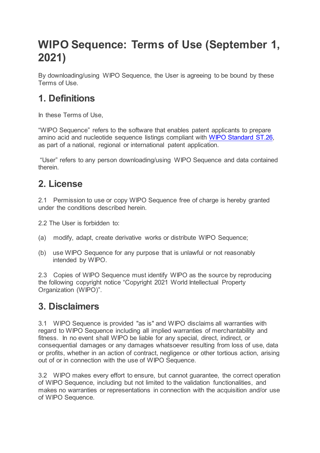# **WIPO Sequence: Terms of Use (September 1, 2021)**

By downloading/using WIPO Sequence, the User is agreeing to be bound by these Terms of Use.

# **1. Definitions**

In these Terms of Use,

"WIPO Sequence" refers to the software that enables patent applicants to prepare amino acid and nucleotide sequence listings compliant with [WIPO Standard ST.26,](https://www.wipo.int/export/sites/www/standards/en/pdf/03-26-01.pdf) as part of a national, regional or international patent application.

"User" refers to any person downloading/using WIPO Sequence and data contained therein.

#### **2. License**

2.1 Permission to use or copy WIPO Sequence free of charge is hereby granted under the conditions described herein.

2.2 The User is forbidden to:

- (a) modify, adapt, create derivative works or distribute WIPO Sequence;
- (b) use WIPO Sequence for any purpose that is unlawful or not reasonably intended by WIPO.

2.3 Copies of WIPO Sequence must identify WIPO as the source by reproducing the following copyright notice "Copyright 2021 World Intellectual Property Organization (WIPO)".

#### **3. Disclaimers**

3.1 WIPO Sequence is provided "as is" and WIPO disclaims all warranties with regard to WIPO Sequence including all implied warranties of merchantability and fitness. In no event shall WIPO be liable for any special, direct, indirect, or consequential damages or any damages whatsoever resulting from loss of use, data or profits, whether in an action of contract, negligence or other tortious action, arising out of or in connection with the use of WIPO Sequence.

3.2 WIPO makes every effort to ensure, but cannot guarantee, the correct operation of WIPO Sequence, including but not limited to the validation functionalities, and makes no warranties or representations in connection with the acquisition and/or use of WIPO Sequence.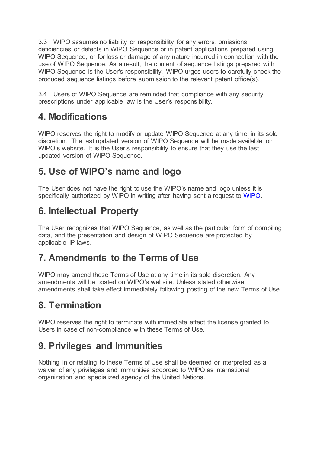3.3 WIPO assumes no liability or responsibility for any errors, omissions, deficiencies or defects in WIPO Sequence or in patent applications prepared using WIPO Sequence, or for loss or damage of any nature incurred in connection with the use of WIPO Sequence. As a result, the content of sequence listings prepared with WIPO Sequence is the User's responsibility. WIPO urges users to carefully check the produced sequence listings before submission to the relevant patent office(s).

3.4 Users of WIPO Sequence are reminded that compliance with any security prescriptions under applicable law is the User's responsibility.

# **4. Modifications**

WIPO reserves the right to modify or update WIPO Sequence at any time, in its sole discretion. The last updated version of WIPO Sequence will be made available on WIPO's website. It is the User's responsibility to ensure that they use the last updated version of WIPO Sequence.

#### **5. Use of WIPO's name and logo**

The User does not have the right to use the WIPO's name and logo unless it is specifically authorized by WIPO in writing after having sent a request to [WIPO.](https://www3.wipo.int/contact/en/area.jsp?area=generalinterest)

# **6. Intellectual Property**

The User recognizes that WIPO Sequence, as well as the particular form of compiling data, and the presentation and design of WIPO Sequence are protected by applicable IP laws.

# **7. Amendments to the Terms of Use**

WIPO may amend these Terms of Use at any time in its sole discretion. Any amendments will be posted on WIPO's website. Unless stated otherwise, amendments shall take effect immediately following posting of the new Terms of Use.

# **8. Termination**

WIPO reserves the right to terminate with immediate effect the license granted to Users in case of non-compliance with these Terms of Use.

# **9. Privileges and Immunities**

Nothing in or relating to these Terms of Use shall be deemed or interpreted as a waiver of any privileges and immunities accorded to WIPO as international organization and specialized agency of the United Nations.